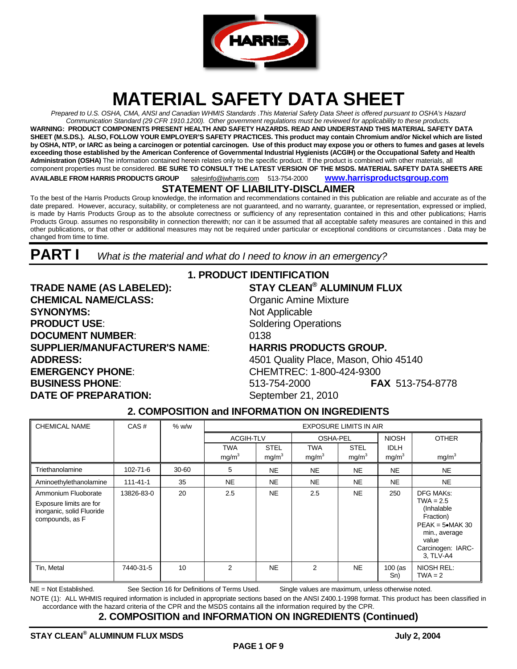

# **MATERIAL SAFETY DATA SHEET**

*Prepared to U.S. OSHA, CMA, ANSI and Canadian WHMIS Standards* .*This Material Safety Data Sheet is offered pursuant to OSHA's Hazard Communication Standard (29 CFR 1910.1200). Other government regulations must be reviewed for applicability to these products.*  **WARNING: PRODUCT COMPONENTS PRESENT HEALTH AND SAFETY HAZARDS. READ AND UNDERSTAND THIS MATERIAL SAFETY DATA SHEET (M.S.DS.). ALSO, FOLLOW YOUR EMPLOYER'S SAFETY PRACTICES. This product may contain Chromium and/or Nickel which are listed by OSHA, NTP, or IARC as being a carcinogen or potential carcinogen. Use of this product may expose you or others to fumes and gases at levels**  exceeding those established by the American Conference of Governmental Industrial Hygienists (ACGIH) or the Occupational Safety and Health **Administration (OSHA)** The information contained herein relates only to the specific product. If the product is combined with other materials, all component properties must be considered. **BE SURE TO CONSULT THE LATEST VERSION OF THE MSDS. MATERIAL SAFETY DATA SHEETS ARE AVAILABLE FROM HARRIS PRODUCTS GROUP** salesinfo@jwharris.com 513-754-2000 **www.harrisproductsgroup.com**

### **STATEMENT OF LIABILITY-DISCLAIMER**

To the best of the Harris Products Group knowledge, the information and recommendations contained in this publication are reliable and accurate as of the date prepared. However, accuracy, suitability, or completeness are not guaranteed, and no warranty, guarantee, or representation, expressed or implied, is made by Harris Products Group as to the absolute correctness or sufficiency of any representation contained in this and other publications; Harris Products Group. assumes no responsibility in connection therewith; nor can it be assumed that all acceptable safety measures are contained in this and other publications, or that other or additional measures may not be required under particular or exceptional conditions or circumstances . Data may be changed from time to time.

**PART I** *What is the material and what do I need to know in an emergency?* 

**TRADE NAME (AS LABELED): STAY CLEAN® ALUMINUM FLUX CHEMICAL NAME/CLASS:** Organic Amine Mixture **SYNONYMS:** Not Applicable **PRODUCT USE:** Soldering Operations **DOCUMENT NUMBER:** 0138 **SUPPLIER/MANUFACTURER'S NAME**: **HARRIS PRODUCTS GROUP. ADDRESS:** 4501 Quality Place, Mason, Ohio 45140 **EMERGENCY PHONE**: CHEMTREC: 1-800-424-9300 **BUSINESS PHONE**: 513-754-2000 **FAX** 513-754-8778 **DATE OF PREPARATION:** September 21, 2010

### **1. PRODUCT IDENTIFICATION**

### **2. COMPOSITION and INFORMATION ON INGREDIENTS**

| <b>CHEMICAL NAME</b>                                                                           | CAS#           | $%$ w/w | <b>EXPOSURE LIMITS IN AIR</b> |                   |                   |                   |                   |                                                                                                                                               |
|------------------------------------------------------------------------------------------------|----------------|---------|-------------------------------|-------------------|-------------------|-------------------|-------------------|-----------------------------------------------------------------------------------------------------------------------------------------------|
|                                                                                                |                |         | <b>ACGIH-TLV</b>              |                   | OSHA-PEL          |                   | <b>NIOSH</b>      | <b>OTHER</b>                                                                                                                                  |
|                                                                                                |                |         | <b>TWA</b>                    | <b>STEL</b>       | <b>TWA</b>        | <b>STEL</b>       | <b>IDLH</b>       |                                                                                                                                               |
|                                                                                                |                |         | mg/m <sup>3</sup>             | mg/m <sup>3</sup> | mg/m <sup>3</sup> | mg/m <sup>3</sup> | mg/m <sup>3</sup> | mg/m <sup>3</sup>                                                                                                                             |
| Triethanolamine                                                                                | 102-71-6       | 30-60   | 5                             | <b>NE</b>         | <b>NE</b>         | <b>NE</b>         | <b>NE</b>         | <b>NE</b>                                                                                                                                     |
| Aminoethylethanolamine                                                                         | $111 - 41 - 1$ | 35      | <b>NE</b>                     | <b>NE</b>         | <b>NE</b>         | <b>NE</b>         | <b>NE</b>         | <b>NE</b>                                                                                                                                     |
| Ammonium Fluoborate<br>Exposure limits are for<br>inorganic, solid Fluoride<br>compounds, as F | 13826-83-0     | 20      | 2.5                           | <b>NE</b>         | 2.5               | <b>NE</b>         | 250               | <b>DFG MAKs:</b><br>$TWA = 2.5$<br>(Inhalable)<br>Fraction)<br>$PEAK = 5$ •MAK 30<br>min., average<br>value<br>Carcinogen: IARC-<br>3, TLV-A4 |
| Tin, Metal                                                                                     | 7440-31-5      | 10      | 2                             | <b>NE</b>         | 2                 | <b>NE</b>         | $100$ (as<br>Sn)  | NIOSH REL:<br>$TWA = 2$                                                                                                                       |

NE = Not Established. See Section 16 for Definitions of Terms Used. Single values are maximum, unless otherwise noted.

NOTE (1): ALL WHMIS required information is included in appropriate sections based on the ANSI Z400.1-1998 format. This product has been classified in accordance with the hazard criteria of the CPR and the MSDS contains all the information required by the CPR.

### **2. COMPOSITION and INFORMATION ON INGREDIENTS (Continued)**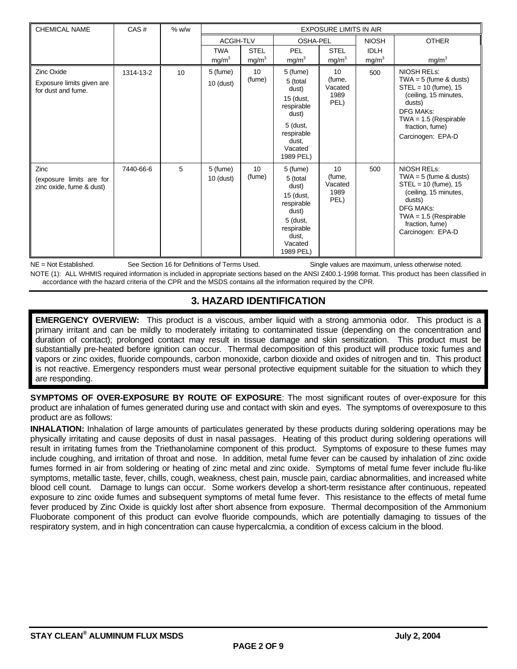| <b>CHEMICAL NAME</b>                                                 | CAS#      | $%$ w/w | <b>EXPOSURE LIMITS IN AIR</b> |                   |                                                                                                                              |                                                      |                   |                                                                                                                                                                                                    |
|----------------------------------------------------------------------|-----------|---------|-------------------------------|-------------------|------------------------------------------------------------------------------------------------------------------------------|------------------------------------------------------|-------------------|----------------------------------------------------------------------------------------------------------------------------------------------------------------------------------------------------|
|                                                                      |           |         | <b>ACGIH-TLV</b>              |                   | <b>OSHA-PEL</b>                                                                                                              |                                                      | <b>NIOSH</b>      | <b>OTHER</b>                                                                                                                                                                                       |
|                                                                      |           |         | <b>TWA</b>                    | <b>STEL</b>       | <b>PEL</b>                                                                                                                   | <b>STEL</b>                                          | <b>IDLH</b>       |                                                                                                                                                                                                    |
|                                                                      |           |         | mg/m <sup>3</sup>             | mg/m <sup>3</sup> | mg/m <sup>3</sup>                                                                                                            | mg/m <sup>3</sup>                                    | mg/m <sup>3</sup> | mg/m <sup>3</sup>                                                                                                                                                                                  |
| <b>Zinc Oxide</b><br>Exposure limits given are<br>for dust and fume. | 1314-13-2 | 10      | 5 (fume)<br>$10$ (dust)       | 10<br>(fume)      | 5 (fume)<br>5 (total<br>dust)<br>15 (dust,<br>respirable<br>dust)<br>5 (dust,<br>respirable<br>dust.<br>Vacated<br>1989 PEL) | 10 <sup>1</sup><br>(fume,<br>Vacated<br>1989<br>PEL) | 500               | <b>NIOSH RELs:</b><br>$TWA = 5$ (fume & dusts)<br>$STEL = 10$ (fume), 15<br>(ceiling, 15 minutes,<br>dusts)<br><b>DFG MAKs:</b><br>$TWA = 1.5$ (Respirable<br>fraction, fume)<br>Carcinogen: EPA-D |
| Zinc<br>(exposure limits are for<br>zinc oxide, fume & dust)         | 7440-66-6 | 5       | 5 (fume)<br>$10$ (dust)       | 10<br>(fume)      | 5 (fume)<br>5 (total<br>dust)<br>15 (dust,<br>respirable<br>dust)<br>5 (dust,<br>respirable<br>dust.<br>Vacated<br>1989 PEL) | 10 <sup>1</sup><br>(fume,<br>Vacated<br>1989<br>PEL) | 500               | <b>NIOSH RELS:</b><br>$TWA = 5$ (fume & dusts)<br>$STEL = 10$ (fume), 15<br>(ceiling, 15 minutes,<br>dusts)<br><b>DFG MAKs:</b><br>$TWA = 1.5$ (Respirable<br>fraction, fume)<br>Carcinogen: EPA-D |

NE = Not Established. See Section 16 for Definitions of Terms Used. Single values are maximum, unless otherwise noted. NOTE (1): ALL WHMIS required information is included in appropriate sections based on the ANSI Z400.1-1998 format. This product has been classified in accordance with the hazard criteria of the CPR and the MSDS contains all the information required by the CPR.

### **3. HAZARD IDENTIFICATION**

**EMERGENCY OVERVIEW:** This product is a viscous, amber liquid with a strong ammonia odor. This product is a primary irritant and can be mildly to moderately irritating to contaminated tissue (depending on the concentration and duration of contact); prolonged contact may result in tissue damage and skin sensitization. This product must be substantially pre-heated before ignition can occur. Thermal decomposition of this product will produce toxic fumes and vapors or zinc oxides, fluoride compounds, carbon monoxide, carbon dioxide and oxides of nitrogen and tin. This product is not reactive. Emergency responders must wear personal protective equipment suitable for the situation to which they are responding.

**SYMPTOMS OF OVER-EXPOSURE BY ROUTE OF EXPOSURE**: The most significant routes of over-exposure for this product are inhalation of fumes generated during use and contact with skin and eyes. The symptoms of overexposure to this product are as follows:

**INHALATION:** Inhalation of large amounts of particulates generated by these products during soldering operations may be physically irritating and cause deposits of dust in nasal passages. Heating of this product during soldering operations will result in irritating fumes from the Triethanolamine component of this product. Symptoms of exposure to these fumes may include coughing, and irritation of throat and nose. In addition, metal fume fever can be caused by inhalation of zinc oxide fumes formed in air from soldering or heating of zinc metal and zinc oxide. Symptoms of metal fume fever include flu-like symptoms, metallic taste, fever, chills, cough, weakness, chest pain, muscle pain, cardiac abnormalities, and increased white blood cell count. Damage to lungs can occur. Some workers develop a short-term resistance after continuous, repeated exposure to zinc oxide fumes and subsequent symptoms of metal fume fever. This resistance to the effects of metal fume fever produced by Zinc Oxide is quickly lost after short absence from exposure. Thermal decomposition of the Ammonium Fluoborate component of this product can evolve fluoride compounds, which are potentially damaging to tissues of the respiratory system, and in high concentration can cause hypercalcmia, a condition of excess calcium in the blood.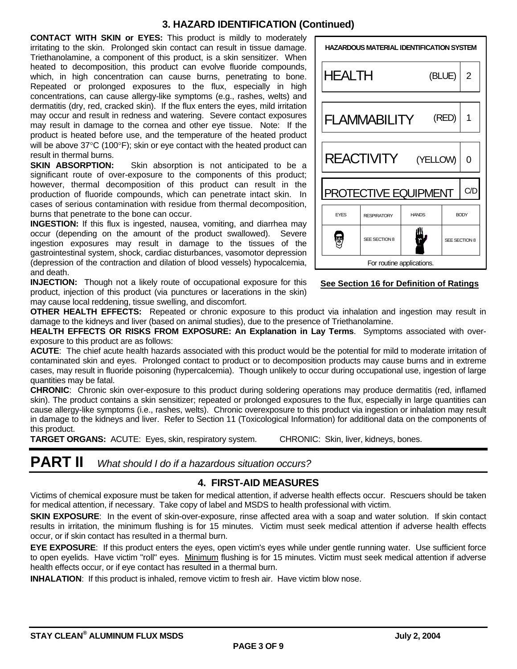### **3. HAZARD IDENTIFICATION (Continued)**

**CONTACT WITH SKIN or EYES:** This product is mildly to moderately irritating to the skin. Prolonged skin contact can result in tissue damage. Triethanolamine, a component of this product, is a skin sensitizer. When heated to decomposition, this product can evolve fluoride compounds, which, in high concentration can cause burns, penetrating to bone. Repeated or prolonged exposures to the flux, especially in high concentrations, can cause allergy-like symptoms (e.g., rashes, welts) and dermatitis (dry, red, cracked skin). If the flux enters the eyes, mild irritation may occur and result in redness and watering. Severe contact exposures may result in damage to the cornea and other eye tissue. Note: If the product is heated before use, and the temperature of the heated product will be above  $37^{\circ}$ C (100 $^{\circ}$ F); skin or eye contact with the heated product can

result in thermal burns.<br>SKIN ABSORPTION: Skin absorption is not anticipated to be a significant route of over-exposure to the components of this product; however, thermal decomposition of this product can result in the production of fluoride compounds, which can penetrate intact skin. In cases of serious contamination with residue from thermal decomposition, burns that penetrate to the bone can occur.

**INGESTION:** If this flux is ingested, nausea, vomiting, and diarrhea may occur (depending on the amount of the product swallowed). Severe ingestion exposures may result in damage to the tissues of the gastrointestinal system, shock, cardiac disturbances, vasomotor depression (depression of the contraction and dilation of blood vessels) hypocalcemia, and death.

**INJECTION:** Though not a likely route of occupational exposure for this product, injection of this product (via punctures or lacerations in the skin) may cause local reddening, tissue swelling, and discomfort.



### **See Section 16 for Definition of Ratings**

**OTHER HEALTH EFFECTS:** Repeated or chronic exposure to this product via inhalation and ingestion may result in damage to the kidneys and liver (based on animal studies), due to the presence of Triethanolamine.

**HEALTH EFFECTS OR RISKS FROM EXPOSURE: An Explanation in Lay Terms**. Symptoms associated with overexposure to this product are as follows:

**ACUTE**: The chief acute health hazards associated with this product would be the potential for mild to moderate irritation of contaminated skin and eyes. Prolonged contact to product or to decomposition products may cause burns and in extreme cases, may result in fluoride poisoning (hypercalcemia). Though unlikely to occur during occupational use, ingestion of large quantities may be fatal.

**CHRONIC**: Chronic skin over-exposure to this product during soldering operations may produce dermatitis (red, inflamed skin). The product contains a skin sensitizer; repeated or prolonged exposures to the flux, especially in large quantities can cause allergy-like symptoms (i.e., rashes, welts). Chronic overexposure to this product via ingestion or inhalation may result in damage to the kidneys and liver. Refer to Section 11 (Toxicological Information) for additional data on the components of this product.

**TARGET ORGANS:** ACUTE: Eyes, skin, respiratory system. CHRONIC: Skin, liver, kidneys, bones.

## **PART II** *What should I do if a hazardous situation occurs?*

### **4. FIRST-AID MEASURES**

Victims of chemical exposure must be taken for medical attention, if adverse health effects occur. Rescuers should be taken for medical attention, if necessary. Take copy of label and MSDS to health professional with victim.

**SKIN EXPOSURE:** In the event of skin-over-exposure, rinse affected area with a soap and water solution. If skin contact results in irritation, the minimum flushing is for 15 minutes. Victim must seek medical attention if adverse health effects occur, or if skin contact has resulted in a thermal burn.

**EYE EXPOSURE**: If this product enters the eyes, open victim's eyes while under gentle running water. Use sufficient force to open eyelids. Have victim "roll" eyes. Minimum flushing is for 15 minutes. Victim must seek medical attention if adverse health effects occur, or if eye contact has resulted in a thermal burn.

**INHALATION**: If this product is inhaled, remove victim to fresh air. Have victim blow nose.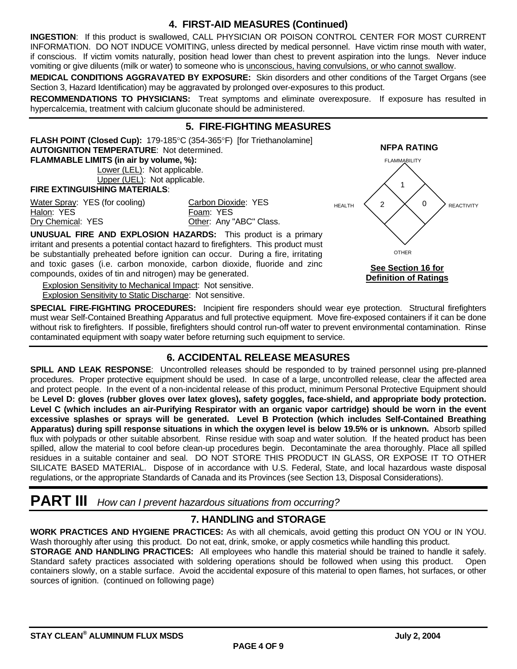### **4. FIRST-AID MEASURES (Continued)**

**INGESTION**: If this product is swallowed, CALL PHYSICIAN OR POISON CONTROL CENTER FOR MOST CURRENT INFORMATION. DO NOT INDUCE VOMITING, unless directed by medical personnel. Have victim rinse mouth with water, if conscious. If victim vomits naturally, position head lower than chest to prevent aspiration into the lungs. Never induce vomiting or give diluents (milk or water) to someone who is unconscious, having convulsions, or who cannot swallow.

**MEDICAL CONDITIONS AGGRAVATED BY EXPOSURE:** Skin disorders and other conditions of the Target Organs (see Section 3, Hazard Identification) may be aggravated by prolonged over-exposures to this product.

**RECOMMENDATIONS TO PHYSICIANS:** Treat symptoms and eliminate overexposure. If exposure has resulted in hypercalcemia, treatment with calcium gluconate should be administered.

#### **5. FIRE-FIGHTING MEASURES FLASH POINT (Closed Cup):** 179-185°C (354-365°F) [for Triethanolamine] **AUTOIGNITION TEMPERATURE**: Not determined. **NFPA RATING FLAMMABLE LIMITS (in air by volume, %):**  2 1 HEALTH  $\langle 2 \times 0$ FLAMMABILITY REACTIVITY Lower (LEL): Not applicable. Upper (UEL): Not applicable. **FIRE EXTINGUISHING MATERIALS**: Water Spray: YES (for cooling) Carbon Dioxide: YES Halon: YES Foam: YES Dry Chemical: YES **Other: Any "ABC" Class. UNUSUAL FIRE AND EXPLOSION HAZARDS:** This product is a primary

irritant and presents a potential contact hazard to firefighters. This product must be substantially preheated before ignition can occur. During a fire, irritating and toxic gases (i.e. carbon monoxide, carbon dioxide, fluoride and zinc compounds, oxides of tin and nitrogen) may be generated. **See Section 16 for**

**Explosion Sensitivity to Mechanical Impact: Not sensitive.** Explosion Sensitivity to Static Discharge: Not sensitive.

**SPECIAL FIRE-FIGHTING PROCEDURES:** Incipient fire responders should wear eye protection. Structural firefighters must wear Self-Contained Breathing Apparatus and full protective equipment. Move fire-exposed containers if it can be done without risk to firefighters. If possible, firefighters should control run-off water to prevent environmental contamination. Rinse contaminated equipment with soapy water before returning such equipment to service.

### **6. ACCIDENTAL RELEASE MEASURES**

**SPILL AND LEAK RESPONSE**: Uncontrolled releases should be responded to by trained personnel using pre-planned procedures. Proper protective equipment should be used. In case of a large, uncontrolled release, clear the affected area and protect people. In the event of a non-incidental release of this product, minimum Personal Protective Equipment should be **Level D: gloves (rubber gloves over latex gloves), safety goggles, face-shield, and appropriate body protection. Level C (which includes an air-Purifying Respirator with an organic vapor cartridge) should be worn in the event excessive splashes or sprays will be generated. Level B Protection (which includes Self-Contained Breathing Apparatus) during spill response situations in which the oxygen level is below 19.5% or is unknown.** Absorb spilled flux with polypads or other suitable absorbent. Rinse residue with soap and water solution. If the heated product has been spilled, allow the material to cool before clean-up procedures begin. Decontaminate the area thoroughly. Place all spilled residues in a suitable container and seal. DO NOT STORE THIS PRODUCT IN GLASS, OR EXPOSE IT TO OTHER SILICATE BASED MATERIAL. Dispose of in accordance with U.S. Federal, State, and local hazardous waste disposal regulations, or the appropriate Standards of Canada and its Provinces (see Section 13, Disposal Considerations).

### **PART III** *How can I prevent hazardous situations from occurring?*

### **7. HANDLING and STORAGE**

**WORK PRACTICES AND HYGIENE PRACTICES:** As with all chemicals, avoid getting this product ON YOU or IN YOU. Wash thoroughly after using this product. Do not eat, drink, smoke, or apply cosmetics while handling this product. **STORAGE AND HANDLING PRACTICES:** All employees who handle this material should be trained to handle it safely. Standard safety practices associated with soldering operations should be followed when using this product. Open containers slowly, on a stable surface. Avoid the accidental exposure of this material to open flames, hot surfaces, or other

sources of ignition. (continued on following page)

OTHER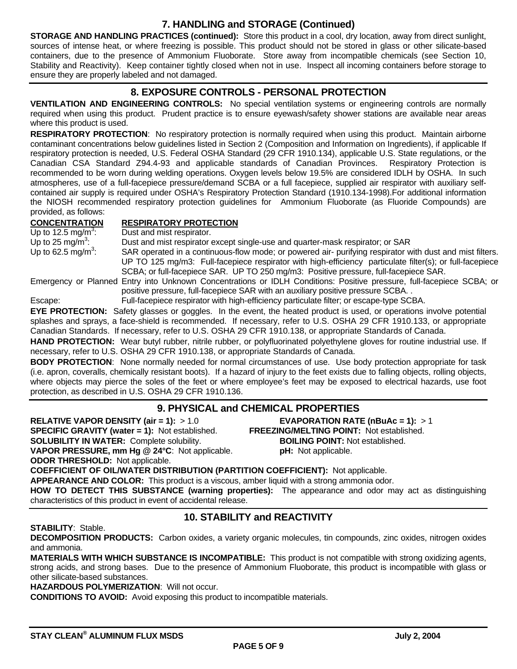### **7. HANDLING and STORAGE (Continued)**

**STORAGE AND HANDLING PRACTICES (continued):** Store this product in a cool, dry location, away from direct sunlight, sources of intense heat, or where freezing is possible. This product should not be stored in glass or other silicate-based containers, due to the presence of Ammonium Fluoborate. Store away from incompatible chemicals (see Section 10, Stability and Reactivity). Keep container tightly closed when not in use. Inspect all incoming containers before storage to ensure they are properly labeled and not damaged.

### **8. EXPOSURE CONTROLS - PERSONAL PROTECTION**

**VENTILATION AND ENGINEERING CONTROLS:** No special ventilation systems or engineering controls are normally required when using this product. Prudent practice is to ensure eyewash/safety shower stations are available near areas where this product is used.

**RESPIRATORY PROTECTION**: No respiratory protection is normally required when using this product. Maintain airborne contaminant concentrations below guidelines listed in Section 2 (Composition and Information on Ingredients), if applicable If respiratory protection is needed, U.S. Federal OSHA Standard (29 CFR 1910.134), applicable U.S. State regulations, or the Canadian CSA Standard Z94.4-93 and applicable standards of Canadian Provinces. Respiratory Protection is recommended to be worn during welding operations. Oxygen levels below 19.5% are considered IDLH by OSHA. In such atmospheres, use of a full-facepiece pressure/demand SCBA or a full facepiece, supplied air respirator with auxiliary selfcontained air supply is required under OSHA's Respiratory Protection Standard (1910.134-1998).For additional information the NIOSH recommended respiratory protection guidelines for Ammonium Fluoborate (as Fluoride Compounds) are provided, as follows:

#### **CONCENTRATION RESPIRATORY PROTECTION**

Up to 12.5 mg/m<sup>3</sup>: Up to 25 mg/m<sup>3</sup>: Up to 62.5 ma/m<sup>3</sup>:

Dust and mist respirator.

Dust and mist respirator except single-use and quarter-mask respirator; or SAR

SAR operated in a continuous-flow mode; or powered air- purifying respirator with dust and mist filters. UP TO 125 mg/m3: Full-facepiece respirator with high-efficiency particulate filter(s); or full-facepiece SCBA; or full-facepiece SAR. UP TO 250 mg/m3: Positive pressure, full-facepiece SAR.

Emergency or Planned Entry into Unknown Concentrations or IDLH Conditions: Positive pressure, full-facepiece SCBA; or positive pressure, full-facepiece SAR with an auxiliary positive pressure SCBA. .

Escape: Full-facepiece respirator with high-efficiency particulate filter; or escape-type SCBA.

**EYE PROTECTION:** Safety glasses or goggles. In the event, the heated product is used, or operations involve potential splashes and sprays, a face-shield is recommended. If necessary, refer to U.S. OSHA 29 CFR 1910.133, or appropriate Canadian Standards. If necessary, refer to U.S. OSHA 29 CFR 1910.138, or appropriate Standards of Canada.

**HAND PROTECTION:** Wear butyl rubber, nitrile rubber, or polyfluorinated polyethylene gloves for routine industrial use. If necessary, refer to U.S. OSHA 29 CFR 1910.138, or appropriate Standards of Canada.

**BODY PROTECTION**: None normally needed for normal circumstances of use. Use body protection appropriate for task (i.e. apron, coveralls, chemically resistant boots). If a hazard of injury to the feet exists due to falling objects, rolling objects, where objects may pierce the soles of the feet or where employee's feet may be exposed to electrical hazards, use foot protection, as described in U.S. OSHA 29 CFR 1910.136.

### **9. PHYSICAL and CHEMICAL PROPERTIES**

**RELATIVE VAPOR DENSITY (air = 1):** > 1.0 **EVAPORATION RATE (nBuAc = 1):** > 1 **SPECIFIC GRAVITY (water = 1):** Not established. **FREEZING/MELTING POINT:** Not established. **SOLUBILITY IN WATER:** Complete solubility. **BOILING POINT:** Not established. **VAPOR PRESSURE, mm Hg @ 24°C**: Not applicable. **pH:** Not applicable. **ODOR THRESHOLD:** Not applicable.

**COEFFICIENT OF OIL/WATER DISTRIBUTION (PARTITION COEFFICIENT):** Not applicable. **APPEARANCE AND COLOR:** This product is a viscous, amber liquid with a strong ammonia odor. **HOW TO DETECT THIS SUBSTANCE (warning properties):** The appearance and odor may act as distinguishing characteristics of this product in event of accidental release.

### **10. STABILITY and REACTIVITY**

**STABILITY**: Stable.

**DECOMPOSITION PRODUCTS:** Carbon oxides, a variety organic molecules, tin compounds, zinc oxides, nitrogen oxides and ammonia.

**MATERIALS WITH WHICH SUBSTANCE IS INCOMPATIBLE:** This product is not compatible with strong oxidizing agents, strong acids, and strong bases. Due to the presence of Ammonium Fluoborate, this product is incompatible with glass or other silicate-based substances.

**HAZARDOUS POLYMERIZATION**: Will not occur.

**CONDITIONS TO AVOID:** Avoid exposing this product to incompatible materials.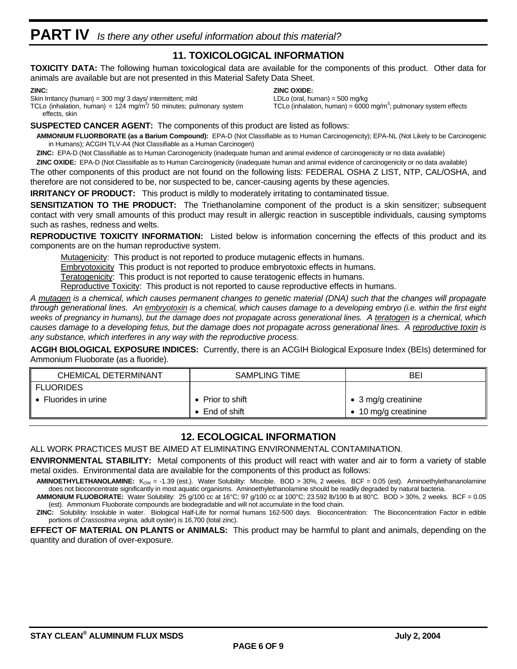### **11. TOXICOLOGICAL INFORMATION**

**TOXICITY DATA:** The following human toxicological data are available for the components of this product. Other data for animals are available but are not presented in this Material Safety Data Sheet.

**ZINC OXIDE:**

LDLo (oral, human) =  $500$  mg/kg

TCLo (inhalation, human) =  $6000$  mg/m<sup>3</sup>; pulmonary system effects

#### **ZINC:**

Skin Irritancy (human) = 300 mg/ 3 days/ intermittent; mild

TCLo (inhalation, human) =  $124 \text{ mg/m}^3$ / 50 minutes; pulmonary system effects, skin

**SUSPECTED CANCER AGENT:** The components of this product are listed as follows:

**AMMONIUM FLUORBORATE (as a Barium Compound):** EPA-D (Not Classifiable as to Human Carcinogenicity); EPA-NL (Not Likely to be Carcinogenic in Humans); ACGIH TLV-A4 (Not Classifiable as a Human Carcinogen)

**ZINC:** EPA-D (Not Classifiable as to Human Carcinogenicity (inadequate human and animal evidence of carcinogenicity or no data available)

**ZINC OXIDE:** EPA-D (Not Classifiable as to Human Carcinogenicity (inadequate human and animal evidence of carcinogenicity or no data available) The other components of this product are not found on the following lists: FEDERAL OSHA Z LIST, NTP, CAL/OSHA, and therefore are not considered to be, nor suspected to be, cancer-causing agents by these agencies.

**IRRITANCY OF PRODUCT:** This product is mildly to moderately irritating to contaminated tissue.

**SENSITIZATION TO THE PRODUCT:** The Triethanolamine component of the product is a skin sensitizer; subsequent contact with very small amounts of this product may result in allergic reaction in susceptible individuals, causing symptoms such as rashes, redness and welts.

**REPRODUCTIVE TOXICITY INFORMATION:** Listed below is information concerning the effects of this product and its components are on the human reproductive system.

Mutagenicity: This product is not reported to produce mutagenic effects in humans.

**Embryotoxicity** This product is not reported to produce embryotoxic effects in humans.

Teratogenicity: This product is not reported to cause teratogenic effects in humans.

Reproductive Toxicity: This product is not reported to cause reproductive effects in humans.

*A mutagen is a chemical, which causes permanent changes to genetic material (DNA) such that the changes will propagate through generational lines. An embryotoxin is a chemical, which causes damage to a developing embryo (i.e. within the first eight weeks of pregnancy in humans), but the damage does not propagate across generational lines. A teratogen is a chemical, which causes damage to a developing fetus, but the damage does not propagate across generational lines. A reproductive toxin is any substance, which interferes in any way with the reproductive process.*

**ACGIH BIOLOGICAL EXPOSURE INDICES:** Currently, there is an ACGIH Biological Exposure Index (BEIs) determined for Ammonium Fluoborate (as a fluoride).

| <b>CHEMICAL DETERMINANT</b> | SAMPLING TIME            | BEI                 |  |
|-----------------------------|--------------------------|---------------------|--|
| <b>FLUORIDES</b>            |                          |                     |  |
| Fluorides in urine          | $\bullet$ Prior to shift | • 3 mg/g creatinine |  |
|                             | $\bullet$ End of shift   | 10 mg/g creatinine  |  |

### **12. ECOLOGICAL INFORMATION**

ALL WORK PRACTICES MUST BE AIMED AT ELIMINATING ENVIRONMENTAL CONTAMINATION.

**ENVIRONMENTAL STABILITY:** Metal components of this product will react with water and air to form a variety of stable metal oxides. Environmental data are available for the components of this product as follows:

**AMINOETHYLETHANOLAMINE:** K<sub>OW</sub> = -1.39 (est.). Water Solubility: Miscible. BOD > 30%, 2 weeks. BCF = 0.05 (est). Aminoethylethananolamine does not bioconcentrate significantly in most aquatic organisms. Aminoethylethanolamine should be readily degraded by natural bacteria.

**AMMONIUM FLUOBORATE:** Water Solubility: 25 g/100 cc at 16°C; 97 g/100 cc at 100°C; 23.592 lb/100 lb at 80°C. BOD > 30%, 2 weeks. BCF = 0.05 (est). Ammonium Fluoborate compounds are biodegradable and will not accumulate in the food chain.

**ZINC:** Solubility: Insoluble in water. Biological Half-Life for normal humans 162-500 days. Bioconcentration: The Bioconcentration Factor in edible portions of *Crassostrea virgina,* adult oyster) is 16,700 (total zinc).

**EFFECT OF MATERIAL ON PLANTS or ANIMALS:** This product may be harmful to plant and animals, depending on the quantity and duration of over-exposure.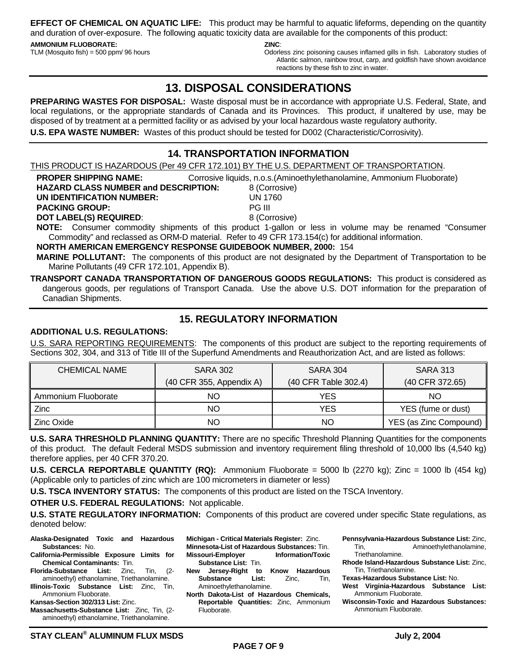**EFFECT OF CHEMICAL ON AQUATIC LIFE:** This product may be harmful to aquatic lifeforms, depending on the quantity and duration of over-exposure. The following aquatic toxicity data are available for the components of this product:

#### **AMMONIUM FLUOBORATE:**

TLM (Mosquito fish) = 500 ppm/ 96 hours

**ZINC**:

Odorless zinc poisoning causes inflamed gills in fish. Laboratory studies of Atlantic salmon, rainbow trout, carp, and goldfish have shown avoidance reactions by these fish to zinc in water.

### **13. DISPOSAL CONSIDERATIONS**

**PREPARING WASTES FOR DISPOSAL:** Waste disposal must be in accordance with appropriate U.S. Federal, State, and local regulations, or the appropriate standards of Canada and its Provinces. This product, if unaltered by use, may be disposed of by treatment at a permitted facility or as advised by your local hazardous waste regulatory authority. **U.S. EPA WASTE NUMBER:** Wastes of this product should be tested for D002 (Characteristic/Corrosivity).

### **14. TRANSPORTATION INFORMATION**

THIS PRODUCT IS HAZARDOUS (Per 49 CFR 172.101) BY THE U.S. DEPARTMENT OF TRANSPORTATION.

**PROPER SHIPPING NAME:** Corrosive liquids, n.o.s.(Aminoethylethanolamine, Ammonium Fluoborate)

| <b>HAZARD CLASS NUMBER and DESCRIPTION:</b> | 8 (Corrosive) |
|---------------------------------------------|---------------|
| UN IDENTIFICATION NUMBER:                   | UN 1760       |
| <b>PACKING GROUP:</b>                       | <b>PG III</b> |
| <b>DOT LABEL(S) REQUIRED:</b>               | 8 (Corrosive) |

**NOTE:** Consumer commodity shipments of this product 1-gallon or less in volume may be renamed "Consumer Commodity" and reclassed as ORM-D material. Refer to 49 CFR 173.154(c) for additional information.

#### **NORTH AMERICAN EMERGENCY RESPONSE GUIDEBOOK NUMBER, 2000:** 154

**MARINE POLLUTANT:** The components of this product are not designated by the Department of Transportation to be Marine Pollutants (49 CFR 172.101, Appendix B).

**TRANSPORT CANADA TRANSPORTATION OF DANGEROUS GOODS REGULATIONS:** This product is considered as dangerous goods, per regulations of Transport Canada. Use the above U.S. DOT information for the preparation of Canadian Shipments.

### **15. REGULATORY INFORMATION**

#### **ADDITIONAL U.S. REGULATIONS:**

U.S. SARA REPORTING REQUIREMENTS: The components of this product are subject to the reporting requirements of Sections 302, 304, and 313 of Title III of the Superfund Amendments and Reauthorization Act, and are listed as follows:

| CHEMICAL NAME       | <b>SARA 302</b>            | <b>SARA 304</b>      | <b>SARA 313</b>        |
|---------------------|----------------------------|----------------------|------------------------|
|                     | $(40$ CFR 355, Appendix A) | (40 CFR Table 302.4) | (40 CFR 372.65)        |
| Ammonium Fluoborate | ΝO                         | YES                  | NΟ                     |
| Zinc                | ΝO                         | YES                  | YES (fume or dust)     |
| Zinc Oxide          | ΝO                         | NO                   | YES (as Zinc Compound) |

**U.S. SARA THRESHOLD PLANNING QUANTITY:** There are no specific Threshold Planning Quantities for the components of this product. The default Federal MSDS submission and inventory requirement filing threshold of 10,000 lbs (4,540 kg) therefore applies, per 40 CFR 370.20.

**U.S. CERCLA REPORTABLE QUANTITY (RQ):** Ammonium Fluoborate = 5000 lb (2270 kg); Zinc = 1000 lb (454 kg) (Applicable only to particles of zinc which are 100 micrometers in diameter or less)

**U.S. TSCA INVENTORY STATUS:** The components of this product are listed on the TSCA Inventory.

**OTHER U.S. FEDERAL REGULATIONS:** Not applicable.

**U.S. STATE REGULATORY INFORMATION:** Components of this product are covered under specific State regulations, as denoted below:

- **Alaska-Designated Toxic and Hazardous Substances:** No.
- **California-Permissible Exposure Limits for Chemical Contaminants:** Tin.
- **Florida-Substance List:** Zinc, Tin, (2 aminoethyl) ethanolamine, Triethanolamine. **Illinois-Toxic Substance List:** Zinc, Tin,
- Ammonium Fluoborate.
- **Kansas-Section 302/313 List:** Zinc.
- **Massachusetts-Substance List:** Zinc, Tin, (2 aminoethyl) ethanolamine, Triethanolamine.
- **Michigan Critical Materials Register:** Zinc. **Minnesota-List of Hazardous Substances:** Tin. **Missouri-Employer Information/Toxic Substance List:** Tin.
- **New Jersey-Right to Know Hazardous Substance List:** Zinc, Tin, Aminoethylethanolamine.
- **North Dakota-List of Hazardous Chemicals, Reportable Quantities:** Zinc, Ammonium Fluoborate.
- **Pennsylvania-Hazardous Substance List:** Zinc, Tin, Aminoethylethanolamine,
	- Triethanolamine.
- **Rhode Island-Hazardous Substance List:** Zinc, Tin, Triethanolamine.
- **Texas-Hazardous Substance List:** No.
- **West Virginia-Hazardous Substance List:** Ammonium Fluoborate.
- **Wisconsin-Toxic and Hazardous Substances:** Ammonium Fluoborate.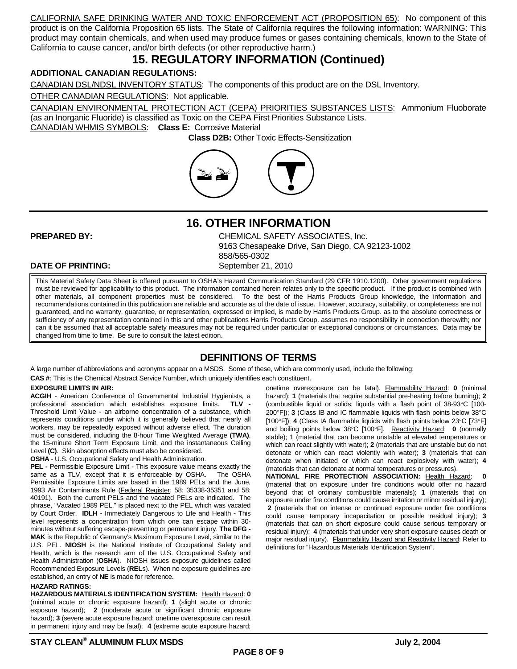CALIFORNIA SAFE DRINKING WATER AND TOXIC ENFORCEMENT ACT (PROPOSITION 65): No component of this product is on the California Proposition 65 lists. The State of California requires the following information: WARNING: This product may contain chemicals, and when used may produce fumes or gases containing chemicals, known to the State of California to cause cancer, and/or birth defects (or other reproductive harm.)

### **15. REGULATORY INFORMATION (Continued)**

#### **ADDITIONAL CANADIAN REGULATIONS:**

CANADIAN DSL/NDSL INVENTORY STATUS: The components of this product are on the DSL Inventory.

OTHER CANADIAN REGULATIONS: Not applicable.

CANADIAN ENVIRONMENTAL PROTECTION ACT (CEPA) PRIORITIES SUBSTANCES LISTS: Ammonium Fluoborate (as an Inorganic Fluoride) is classified as Toxic on the CEPA First Priorities Substance Lists.

CANADIAN WHMIS SYMBOLS: **Class E:** Corrosive Material

 **Class D2B:** Other Toxic Effects-Sensitization



**16. OTHER INFORMATION**

**PREPARED BY:** CHEMICAL SAFETY ASSOCIATES, Inc. 9163 Chesapeake Drive, San Diego, CA 92123-1002 858/565-0302

#### **DATE OF PRINTING:** September 21, 2010

This Material Safety Data Sheet is offered pursuant to OSHA's Hazard Communication Standard (29 CFR 1910.1200). Other government regulations must be reviewed for applicability to this product. The information contained herein relates only to the specific product. If the product is combined with other materials, all component properties must be considered. To the best of the Harris Products Group knowledge, the information and recommendations contained in this publication are reliable and accurate as of the date of issue. However, accuracy, suitability, or completeness are not guaranteed, and no warranty, guarantee, or representation, expressed or implied, is made by Harris Products Group. as to the absolute correctness or sufficiency of any representation contained in this and other publications Harris Products Group. assumes no responsibility in connection therewith; nor can it be assumed that all acceptable safety measures may not be required under particular or exceptional conditions or circumstances. Data may be changed from time to time. Be sure to consult the latest edition.

### **DEFINITIONS OF TERMS**

A large number of abbreviations and acronyms appear on a MSDS. Some of these, which are commonly used, include the following:

**CAS #**: This is the Chemical Abstract Service Number, which uniquely identifies each constituent.

#### **EXPOSURE LIMITS IN AIR:**

**ACGIH** - American Conference of Governmental Industrial Hygienists, a professional association which establishes exposure limits. **TLV -**  Threshold Limit Value - an airborne concentration of a substance, which represents conditions under which it is generally believed that nearly all workers, may be repeatedly exposed without adverse effect. The duration must be considered, including the 8-hour Time Weighted Average **(TWA)**, the 15-minute Short Term Exposure Limit, and the instantaneous Ceiling Level **(C)**. Skin absorption effects must also be considered.

**OSHA** - U.S. Occupational Safety and Health Administration.

**PEL -** Permissible Exposure Limit - This exposure value means exactly the same as a TLV, except that it is enforceable by OSHA. The OSHA Permissible Exposure Limits are based in the 1989 PELs and the June, 1993 Air Contaminants Rule (Federal Register: 58: 35338-35351 and 58: 40191). Both the current PELs and the vacated PELs are indicated. The phrase, "Vacated 1989 PEL," is placed next to the PEL which was vacated by Court Order. **IDLH -** Immediately Dangerous to Life and Health **-** This level represents a concentration from which one can escape within 30 minutes without suffering escape-preventing or permanent injury. **The DFG - MAK** is the Republic of Germany's Maximum Exposure Level, similar to the U.S. PEL. **NIOSH** is the National Institute of Occupational Safety and Health, which is the research arm of the U.S. Occupational Safety and Health Administration (**OSHA**). NIOSH issues exposure guidelines called Recommended Exposure Levels (**REL**s). When no exposure guidelines are established, an entry of **NE** is made for reference.

#### **HAZARD RATINGS:**

**HAZARDOUS MATERIALS IDENTIFICATION SYSTEM:** Health Hazard: **0**  (minimal acute or chronic exposure hazard); **1** (slight acute or chronic exposure hazard); **2** (moderate acute or significant chronic exposure hazard); **3** (severe acute exposure hazard; onetime overexposure can result in permanent injury and may be fatal); **4** (extreme acute exposure hazard; onetime overexposure can be fatal). Flammability Hazard: **0** (minimal hazard); **1** (materials that require substantial pre-heating before burning); **2** (combustible liquid or solids; liquids with a flash point of 38-93°C [100-200°F]); **3** (Class IB and IC flammable liquids with flash points below 38°C [100 $\degree$ F]); **4** (Class IA flammable liquids with flash points below 23 $\degree$ C [73 $\degree$ F] and boiling points below 38°C [100°F]. Reactivity Hazard: 0 (normally stable); 1 (material that can become unstable at elevated temperatures or which can react slightly with water); **2** (materials that are unstable but do not detonate or which can react violently with water); **3** (materials that can detonate when initiated or which can react explosively with water); **4** (materials that can detonate at normal temperatures or pressures).

**NATIONAL FIRE PROTECTION ASSOCIATION:** Health Hazard: **0**  (material that on exposure under fire conditions would offer no hazard beyond that of ordinary combustible materials); **1** (materials that on exposure under fire conditions could cause irritation or minor residual injury); **2** (materials that on intense or continued exposure under fire conditions could cause temporary incapacitation or possible residual injury); **3** (materials that can on short exposure could cause serious temporary or residual injury); **4** (materials that under very short exposure causes death or major residual injury). Flammability Hazard and Reactivity Hazard: Refer to definitions for "Hazardous Materials Identification System".